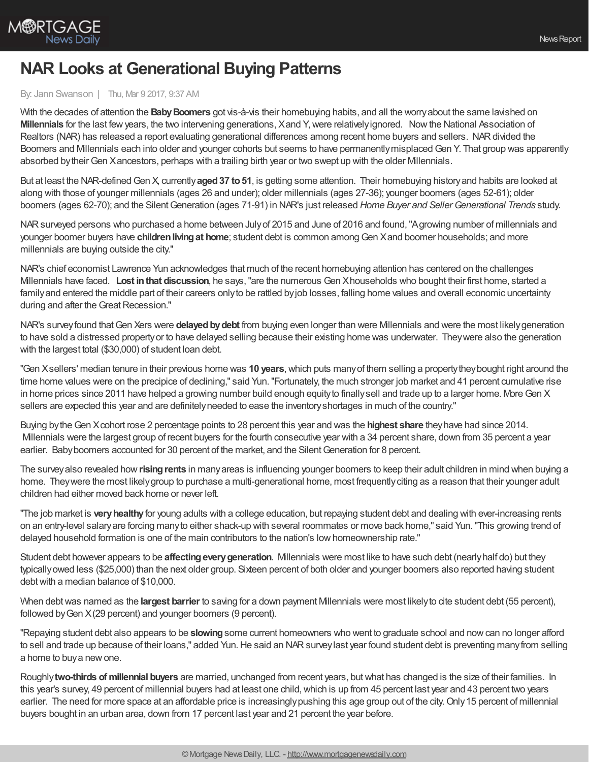

## **NAR Looks at Generational Buying Patterns**

## By: Jann Swanson | Thu, Mar 9 2017, 9:37 AM

With the decades of attention the **Baby Boomers** got vis-à-vis their homebuying habits, and all the worry about the same lavished on **Millennials** for the last few years, the two intervening generations, Xand Y, were relatively ignored. Now the National Association of Realtors (NAR) has released a report evaluating generational differences among recent home buyers and sellers. NARdivided the Boomers and Millennials each into older and younger cohorts but seems to have permanently misplaced Gen Y. That group was apparently absorbed by their Gen Xancestors, perhaps with a trailing birth year or two swept up with the older Milennials.

But at least the NAR-defined Gen X, currently **aged 37 to 51**, is getting some attention. Their homebuying history and habits are looked at along with those of younger millennials (ages 26 and under); older millennials (ages 27-36); younger boomers (ages 52-61); older boomers (ages 62-70); and the SilentGeneration (ages 71-91) in NAR's just released *Home Buyer and SellerGenerational Trends* study.

NARsurveyed persons who purchased a home between Julyof 2015 and June of 2016 and found,"Agrowing number of millennials and younger boomer buyers have *children living at home*; student debt is common among Gen Xand boomer households; and more millennials are buying outside the city."

NAR's chief economist Lawrence Yun acknowledges that much of the recent homebuying attention has centered on the challenges Millennials have faced. **Lost inthat discussion**, he says,"are the numerous Gen Xhouseholds who bought their first home, started a familyand entered the middle part of their careers onlyto be rattled byjob losses, falling home values and overall economic uncertainty during and after the Great Recession."

NAR's survey found that Gen Xers were **delayed by debt** from buying even longer than were Millennials and were the most likely generation to have sold a distressed propertyor to have delayed selling because their existing home was underwater. Theywere also the generation with the largest total (\$30,000) of student loan debt.

"Gen Xsellers' median tenure in their previous home was **10 years**,which puts manyof them selling a propertytheybought right around the time home values were on the precipice of declining," said Yun."Fortunately, the much stronger job market and 41 percent cumulative rise in home prices since 2011 have helped a growing number build enough equityto finallysell and trade up to a larger home. MoreGen X sellers are expected this year and are definitelyneeded to ease the inventoryshortages in much of the country."

Buying bytheGen Xcohort rose 2 percentage points to 28 percent this year and was the **highest share** theyhave had since 2014. Millennials were the largest group of recent buyers for the fourth consecutive year with a 34 percent share, down from 35 percent a year earlier. Baby boomers accounted for 30 percent of the market, and the Silent Generation for 8 percent.

The surveyalso revealed how**risingrents** in manyareas is influencing younger boomers to keep their adult children in mind when buying a home. They were the most likely group to purchase a multi-generational home, most frequently citing as a reason that their younger adult children had either moved back home or never left.

"The job market is **veryhealthy**for young adults with a college education, but repaying student debt and dealing with ever-increasing rents on an entry-level salaryare forcing manyto either shack-up with several roommates or move back home," said Yun."This growing trend of delayed household formation is one of the main contributors to the nation's lowhomeownership rate."

Student debt however appears to be **affectingeverygeneration**. Millennials were most like to have such debt (nearlyhalf do) but they typicallyowed less (\$25,000) than the next older group. Sixteen percent of both older and younger boomers also reported having student debt with a median balance of \$10,000.

When debt was named as the **largest barrier** to saving for a down payment Millennials were most likely to cite student debt (55 percent), followed by Gen X(29 percent) and younger boomers (9 percent).

"Repaying student debt also appears to be **slowing**some current homeowners who went to graduate school and nowcan no longer afford to sell and trade up because of their loans," added Yun. He said an NAR survey last year found student debt is preventing many from selling a home to buya newone.

Roughly**two-thirds of millennial buyers** are married, unchanged from recent years, butwhat has changed is the size of their families. In this year's survey, 49 percent of millennial buyers had at least one child,which is up from 45 percent last year and 43 percent two years earlier. The need for more space at an affordable price is increasingly pushing this age group out of the city. Only 15 percent of millennial buyers bought in an urban area, down from 17 percent last year and 21 percent the year before.